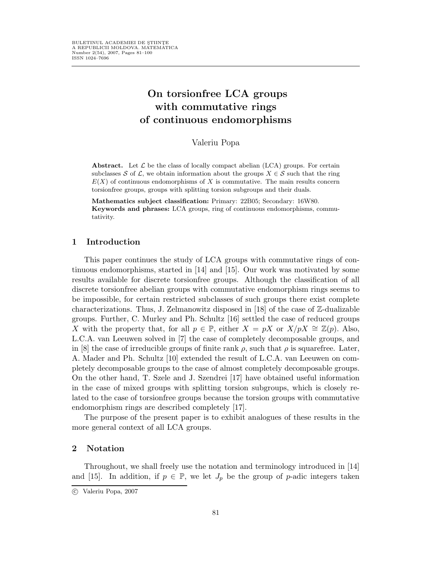# On torsionfree LCA groups with commutative rings of continuous endomorphisms

Valeriu Popa

Abstract. Let  $\mathcal L$  be the class of locally compact abelian (LCA) groups. For certain subclasses S of L, we obtain information about the groups  $X \in \mathcal{S}$  such that the ring  $E(X)$  of continuous endomorphisms of X is commutative. The main results concern torsionfree groups, groups with splitting torsion subgroups and their duals.

Mathematics subject classification: Primary: 22B05; Secondary: 16W80. Keywords and phrases: LCA groups, ring of continuous endomorphisms, commutativity.

### 1 Introduction

This paper continues the study of LCA groups with commutative rings of continuous endomorphisms, started in [14] and [15]. Our work was motivated by some results available for discrete torsionfree groups. Although the classification of all discrete torsionfree abelian groups with commutative endomorphism rings seems to be impossible, for certain restricted subclasses of such groups there exist complete characterizations. Thus, J. Zelmanowitz disposed in [18] of the case of  $\mathbb{Z}$ -dualizable groups. Further, C. Murley and Ph. Schultz [16] settled the case of reduced groups X with the property that, for all  $p \in \mathbb{P}$ , either  $X = pX$  or  $X/pX \cong \mathbb{Z}(p)$ . Also, L.C.A. van Leeuwen solved in [7] the case of completely decomposable groups, and in [8] the case of irreducible groups of finite rank  $\rho$ , such that  $\rho$  is squarefree. Later, A. Mader and Ph. Schultz [10] extended the result of L.C.A. van Leeuwen on completely decomposable groups to the case of almost completely decomposable groups. On the other hand, T. Szele and J. Szendrei [17] have obtained useful information in the case of mixed groups with splitting torsion subgroups, which is closely related to the case of torsionfree groups because the torsion groups with commutative endomorphism rings are described completely [17].

The purpose of the present paper is to exhibit analogues of these results in the more general context of all LCA groups.

# 2 Notation

Throughout, we shall freely use the notation and terminology introduced in [14] and [15]. In addition, if  $p \in \mathbb{P}$ , we let  $J_p$  be the group of p-adic integers taken

c Valeriu Popa, 2007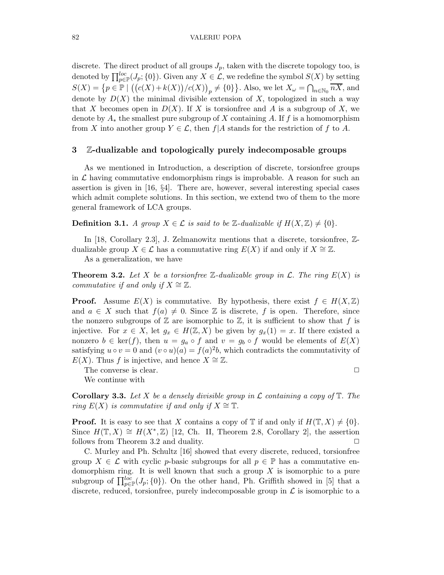discrete. The direct product of all groups  $J_p$ , taken with the discrete topology too, is denoted by  $\prod_{p\in\mathbb{P}}^{loc}(J_p;\{0\})$ . Given any  $X\in\mathcal{L}$ , we redefine the symbol  $S(X)$  by setting  $S(X) = \{p \in \mathbb{P} \mid ((c(X) + k(X)) / c(X))_p \neq \{0\}\}\.$  Also, we let  $X_\omega = \bigcap_{n \in \mathbb{N}_0} \overline{nX}$ , and denote by  $D(X)$  the minimal divisible extension of X, topologized in such a way that X becomes open in  $D(X)$ . If X is torsionfree and A is a subgroup of X, we denote by  $A_*$  the smallest pure subgroup of X containing A. If f is a homomorphism from X into another group  $Y \in \mathcal{L}$ , then  $f|A$  stands for the restriction of f to A.

# 3 Z-dualizable and topologically purely indecomposable groups

As we mentioned in Introduction, a description of discrete, torsionfree groups in  $\mathcal L$  having commutative endomorphism rings is improbable. A reason for such an assertion is given in [16, §4]. There are, however, several interesting special cases which admit complete solutions. In this section, we extend two of them to the more general framework of LCA groups.

**Definition 3.1.** A group  $X \in \mathcal{L}$  is said to be Z-dualizable if  $H(X, \mathbb{Z}) \neq \{0\}$ .

In [18, Corollary 2.3], J. Zelmanowitz mentions that a discrete, torsionfree, Zdualizable group  $X \in \mathcal{L}$  has a commutative ring  $E(X)$  if and only if  $X \cong \mathbb{Z}$ .

As a generalization, we have

**Theorem 3.2.** Let X be a torsion free Z-dualizable group in  $\mathcal{L}$ . The ring  $E(X)$  is commutative if and only if  $X \cong \mathbb{Z}$ .

**Proof.** Assume  $E(X)$  is commutative. By hypothesis, there exist  $f \in H(X,\mathbb{Z})$ and  $a \in X$  such that  $f(a) \neq 0$ . Since Z is discrete, f is open. Therefore, since the nonzero subgroups of  $\mathbb Z$  are isomorphic to  $\mathbb Z$ , it is sufficient to show that f is injective. For  $x \in X$ , let  $g_x \in H(\mathbb{Z}, X)$  be given by  $g_x(1) = x$ . If there existed a nonzero  $b \in \text{ker}(f)$ , then  $u = g_a \circ f$  and  $v = g_b \circ f$  would be elements of  $E(X)$ satisfying  $u \circ v = 0$  and  $(v \circ u)(a) = f(a)^2b$ , which contradicts the commutativity of  $E(X)$ . Thus f is injective, and hence  $X \cong \mathbb{Z}$ .

The converse is clear.  $\Box$ We continue with

**Corollary 3.3.** Let X be a densely divisible group in  $\mathcal L$  containing a copy of  $\mathbb T$ . The ring  $E(X)$  is commutative if and only if  $X \cong \mathbb{T}$ .

**Proof.** It is easy to see that X contains a copy of  $\mathbb{T}$  if and only if  $H(\mathbb{T}, X) \neq \{0\}$ . Since  $H(\mathbb{T}, X) \cong H(X^*, \mathbb{Z})$  [12, Ch. II, Theorem 2.8, Corollary 2], the assertion follows from Theorem 3.2 and duality.

C. Murley and Ph. Schultz [16] showed that every discrete, reduced, torsionfree group  $X \in \mathcal{L}$  with cyclic p-basic subgroups for all  $p \in \mathbb{P}$  has a commutative endomorphism ring. It is well known that such a group  $X$  is isomorphic to a pure subgroup of  $\prod_{p\in\mathbb{P}}^{loc}(J_p;\{0\})$ . On the other hand, Ph. Griffith showed in [5] that a discrete, reduced, torsionfree, purely indecomposable group in  $\mathcal L$  is isomorphic to a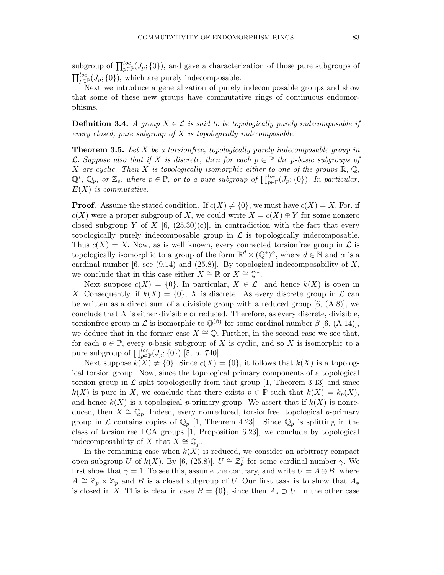subgroup of  $\prod_{p\in\mathbb{P}}^{loc}(J_p;\{0\})$ , and gave a characterization of those pure subgroups of  $\prod_{p\in\mathbb{P}}^{loc}(J_p;\{0\}),$  which are purely indecomposable.

Next we introduce a generalization of purely indecomposable groups and show that some of these new groups have commutative rings of continuous endomorphisms.

**Definition 3.4.** A group  $X \in \mathcal{L}$  is said to be topologically purely indecomposable if every closed, pure subgroup of  $X$  is topologically indecomposable.

**Theorem 3.5.** Let  $X$  be a torsionfree, topologically purely indecomposable group in L. Suppose also that if X is discrete, then for each  $p \in \mathbb{P}$  the p-basic subgroups of X are cyclic. Then X is topologically isomorphic either to one of the groups  $\mathbb{R}, \mathbb{Q},$  $\mathbb{Q}^*, \mathbb{Q}_p$ , or  $\mathbb{Z}_p$ , where  $p \in \mathbb{P}$ , or to a pure subgroup of  $\prod_{p \in \mathbb{P}}^{loc}(J_p; \{0\})$ . In particular,  $E(X)$  is commutative.

**Proof.** Assume the stated condition. If  $c(X) \neq \{0\}$ , we must have  $c(X) = X$ . For, if  $c(X)$  were a proper subgroup of X, we could write  $X = c(X) \oplus Y$  for some nonzero closed subgroup Y of X [6, (25.30)(c)], in contradiction with the fact that every topologically purely indecomposable group in  $\mathcal L$  is topologically indecomposable. Thus  $c(X) = X$ . Now, as is well known, every connected torsion free group in  $\mathcal L$  is topologically isomorphic to a group of the form  $\mathbb{R}^d \times (\mathbb{Q}^*)^{\alpha}$ , where  $d \in \mathbb{N}$  and  $\alpha$  is a cardinal number  $[6, \text{see } (9.14) \text{ and } (25.8)]$ . By topological indecomposability of X, we conclude that in this case either  $X \cong \mathbb{R}$  or  $X \cong \mathbb{Q}^*$ .

Next suppose  $c(X) = \{0\}$ . In particular,  $X \in \mathcal{L}_0$  and hence  $k(X)$  is open in X. Consequently, if  $k(X) = \{0\}$ , X is discrete. As every discrete group in  $\mathcal L$  can be written as a direct sum of a divisible group with a reduced group  $[6, (A.8)]$ , we conclude that  $X$  is either divisible or reduced. Therefore, as every discrete, divisible, torsionfree group in  $\mathcal L$  is isomorphic to  $\mathbb Q^{(\beta)}$  for some cardinal number  $\beta$  [6, (A.14)], we deduce that in the former case  $X \cong \mathbb{Q}$ . Further, in the second case we see that, for each  $p \in \mathbb{P}$ , every p-basic subgroup of X is cyclic, and so X is isomorphic to a pure subgroup of  $\prod_{p\in\mathbb{P}}^{loc}(J_p;\{0\})$  [5, p. 740].

Next suppose  $k(X) \neq \{0\}$ . Since  $c(X) = \{0\}$ , it follows that  $k(X)$  is a topological torsion group. Now, since the topological primary components of a topological torsion group in  $\mathcal L$  split topologically from that group [1, Theorem 3.13] and since  $k(X)$  is pure in X, we conclude that there exists  $p \in \mathbb{P}$  such that  $k(X) = k_p(X)$ , and hence  $k(X)$  is a topological p-primary group. We assert that if  $k(X)$  is nonreduced, then  $X \cong \mathbb{Q}_p$ . Indeed, every nonreduced, torsionfree, topological p-primary group in L contains copies of  $\mathbb{Q}_p$  [1, Theorem 4.23]. Since  $\mathbb{Q}_p$  is splitting in the class of torsionfree LCA groups [1, Proposition 6.23], we conclude by topological indecomposability of X that  $X ≌ \mathbb{Q}_p$ .

In the remaining case when  $k(X)$  is reduced, we consider an arbitrary compact open subgroup U of  $k(X)$ . By [6, (25.8)],  $U \cong \mathbb{Z}_p^{\gamma}$  for some cardinal number  $\gamma$ . We first show that  $\gamma = 1$ . To see this, assume the contrary, and write  $U = A \oplus B$ , where  $A \cong \mathbb{Z}_p \times \mathbb{Z}_p$  and B is a closed subgroup of U. Our first task is to show that  $A_*$ is closed in X. This is clear in case  $B = \{0\}$ , since then  $A_* \supset U$ . In the other case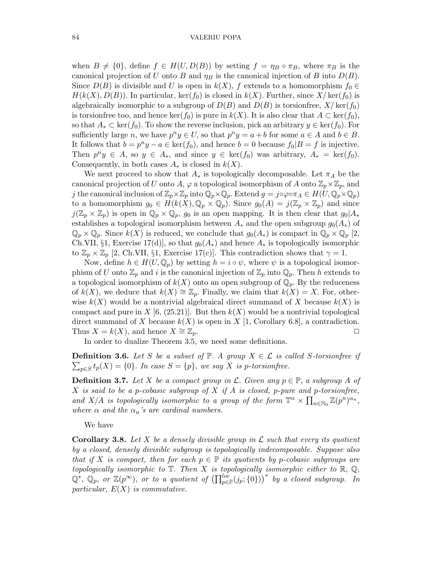when  $B \neq \{0\}$ , define  $f \in H(U, D(B))$  by setting  $f = \eta_B \circ \pi_B$ , where  $\pi_B$  is the canonical projection of U onto B and  $\eta_B$  is the canonical injection of B into  $D(B)$ . Since  $D(B)$  is divisible and U is open in  $k(X)$ , f extends to a homomorphism  $f_0 \in$  $H(k(X),D(B))$ . In particular, ker(f<sub>0</sub>) is closed in  $k(X)$ . Further, since  $X/\text{ker}(f_0)$  is algebraically isomorphic to a subgroup of  $D(B)$  and  $D(B)$  is torsionfree,  $X/\text{ker}(f_0)$ is torsionfree too, and hence  $\ker(f_0)$  is pure in  $k(X)$ . It is also clear that  $A \subset \ker(f_0)$ , so that  $A_* \subset \text{ker}(f_0)$ . To show the reverse inclusion, pick an arbitrary  $y \in \text{ker}(f_0)$ . For sufficiently large *n*, we have  $p^n y \in U$ , so that  $p^n y = a + b$  for some  $a \in A$  and  $b \in B$ . It follows that  $b = p^n y - a \in \text{ker}(f_0)$ , and hence  $b = 0$  because  $f_0 | B = f$  is injective. Then  $p^ny \in A$ , so  $y \in A_*$ , and since  $y \in \text{ker}(f_0)$  was arbitrary,  $A_* = \text{ker}(f_0)$ . Consequently, in both cases  $A_*$  is closed in  $k(X)$ .

We next proceed to show that  $A_*$  is topologically decomposable. Let  $\pi_A$  be the canonical projection of U onto A,  $\varphi$  a topological isomorphism of A onto  $\mathbb{Z}_p\times\mathbb{Z}_p$ , and j the canonical inclusion of  $\mathbb{Z}_p\times\mathbb{Z}_p$  into  $\mathbb{Q}_p\times\mathbb{Q}_p$ . Extend  $g = j\circ\varphi\circ\pi_A \in H(U, \mathbb{Q}_p\times\mathbb{Q}_p)$ to a homomorphism  $g_0 \in H(k(X), \mathbb{Q}_p \times \mathbb{Q}_p)$ . Since  $g_0(A) = j(\mathbb{Z}_p \times \mathbb{Z}_p)$  and since  $j(\mathbb{Z}_p\times\mathbb{Z}_p)$  is open in  $\mathbb{Q}_p\times\mathbb{Q}_p$ ,  $g_0$  is an open mapping. It is then clear that  $g_0|A_*$ establishes a topological isomorphism between  $A_*$  and the open subgroup  $g_0(A_*)$  of  $\mathbb{Q}_p \times \mathbb{Q}_p$ . Since  $k(X)$  is reduced, we conclude that  $g_0(A_*)$  is compact in  $\mathbb{Q}_p \times \mathbb{Q}_p$  [2, Ch.VII, §1, Exercise 17(d), so that  $g_0(A_*)$  and hence  $A_*$  is topologically isomorphic to  $\mathbb{Z}_p \times \mathbb{Z}_p$  [2, Ch.VII, §1, Exercise 17(c)]. This contradiction shows that  $\gamma = 1$ .

Now, define  $h \in H(U, \mathbb{Q}_p)$  by setting  $h = i \circ \psi$ , where  $\psi$  is a topological isomorphism of U onto  $\mathbb{Z}_p$  and i is the canonical injection of  $\mathbb{Z}_p$  into  $\mathbb{Q}_p$ . Then h extends to a topological isomorphism of  $k(X)$  onto an open subgroup of  $\mathbb{Q}_p$ . By the reduceness of  $k(X)$ , we deduce that  $k(X) \cong \mathbb{Z}_p$ . Finally, we claim that  $k(X) = X$ . For, otherwise  $k(X)$  would be a nontrivial algebraical direct summand of X because  $k(X)$  is compact and pure in X [6, (25.21)]. But then  $k(X)$  would be a nontrivial topological direct summand of X because  $k(X)$  is open in X [1, Corollary 6.8], a contradiction. Thus  $X = k(X)$ , and hence  $X \cong \mathbb{Z}_p$ .  $\Box$ 

In order to dualize Theorem 3.5, we need some definitions.

**Definition 3.6.** Let S be a subset of  $\mathbb{P}$ . A group  $X \in \mathcal{L}$  is called S-torsionfree if  $\sum_{p\in S} t_p(X) = \{0\}.$  In case  $S = \{p\}$ , we say X is p-torsionfree.

**Definition 3.7.** Let X be a compact group in L. Given any  $p \in \mathbb{P}$ , a subgroup A of  $X$  is said to be a p-cobasic subgroup of  $X$  if  $A$  is closed, p-pure and p-torsionfree, and X/A is topologically isomorphic to a group of the form  $\mathbb{T}^{\alpha} \times \prod_{n \in \mathbb{N}_0} \mathbb{Z}(p^n)^{\alpha_n}$ , where  $\alpha$  and the  $\alpha_n$ 's are cardinal numbers.

We have

**Corollary 3.8.** Let X be a densely divisible group in  $\mathcal{L}$  such that every its quotient by a closed, densely divisible subgroup is topologically indecomposable. Suppose also that if X is compact, then for each  $p \in \mathbb{P}$  its quotients by p-cobasic subgroups are topologically isomorphic to  $\mathbb T$ . Then X is topologically isomorphic either to  $\mathbb R$ ,  $\mathbb Q$ ,  $\mathbb{Q}^*,$   $\mathbb{Q}_p$ , or  $\mathbb{Z}(p^{\infty})$ , or to a quotient of  $\left(\prod_{p\in \mathbb{P}}^{loc}(j_p; \{0\})\right)^*$  by a closed subgroup. In particular,  $E(X)$  is commutative.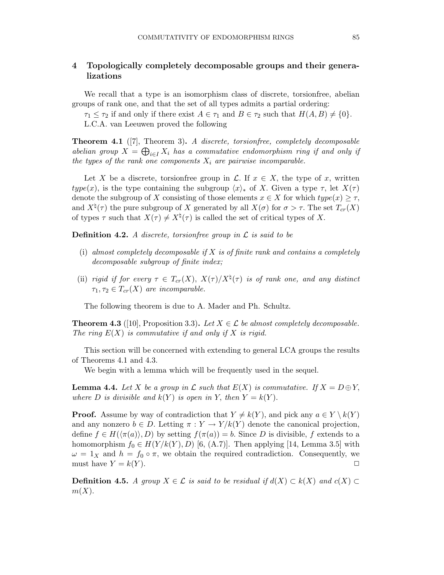# 4 Topologically completely decomposable groups and their generalizations

We recall that a type is an isomorphism class of discrete, torsionfree, abelian groups of rank one, and that the set of all types admits a partial ordering:

 $\tau_1 \leq \tau_2$  if and only if there exist  $A \in \tau_1$  and  $B \in \tau_2$  such that  $H(A, B) \neq \{0\}.$ L.C.A. van Leeuwen proved the following

**Theorem 4.1** ([7], Theorem 3). A discrete, torsionfree, completely decomposable abelian group  $X = \bigoplus_{i \in I} X_i$  has a commutative endomorphism ring if and only if the types of the rank one components  $X_i$  are pairwise incomparable.

Let X be a discrete, torsionfree group in  $\mathcal{L}$ . If  $x \in X$ , the type of x, written type(x), is the type containing the subgroup  $\langle x \rangle_*$  of X. Given a type  $\tau$ , let  $X(\tau)$ denote the subgroup of X consisting of those elements  $x \in X$  for which  $type(x) \geq \tau$ , and  $X^{\natural}(\tau)$  the pure subgroup of X generated by all  $X(\sigma)$  for  $\sigma > \tau$ . The set  $T_{cr}(X)$ of types  $\tau$  such that  $X(\tau) \neq X^{\natural}(\tau)$  is called the set of critical types of X.

**Definition 4.2.** A discrete, torsionfree group in  $\mathcal{L}$  is said to be

- (i) almost completely decomposable if X is of finite rank and contains a completely decomposable subgroup of finite index;
- (ii) rigid if for every  $\tau \in T_{cr}(X)$ ,  $X(\tau)/X^{\natural}(\tau)$  is of rank one, and any distinct  $\tau_1, \tau_2 \in T_{cr}(X)$  are incomparable.

The following theorem is due to A. Mader and Ph. Schultz.

**Theorem 4.3** ([10], Proposition 3.3). Let  $X \in \mathcal{L}$  be almost completely decomposable. The ring  $E(X)$  is commutative if and only if X is rigid.

This section will be concerned with extending to general LCA groups the results of Theorems 4.1 and 4.3.

We begin with a lemma which will be frequently used in the sequel.

**Lemma 4.4.** Let X be a group in  $\mathcal L$  such that  $E(X)$  is commutative. If  $X = D \oplus Y$ , where D is divisible and  $k(Y)$  is open in Y, then  $Y = k(Y)$ .

**Proof.** Assume by way of contradiction that  $Y \neq k(Y)$ , and pick any  $a \in Y \setminus k(Y)$ and any nonzero  $b \in D$ . Letting  $\pi : Y \to Y/k(Y)$  denote the canonical projection, define  $f \in H(\langle \pi(a) \rangle, D)$  by setting  $f(\pi(a)) = b$ . Since D is divisible, f extends to a homomorphism  $f_0 \in H(Y/k(Y), D)$  [6, (A.7)]. Then applying [14, Lemma 3.5] with  $\omega = 1_X$  and  $h = f_0 \circ \pi$ , we obtain the required contradiction. Consequently, we must have  $Y = k(Y)$ .

**Definition 4.5.** A group  $X \in \mathcal{L}$  is said to be residual if  $d(X) \subset k(X)$  and  $c(X) \subset$  $m(X)$ .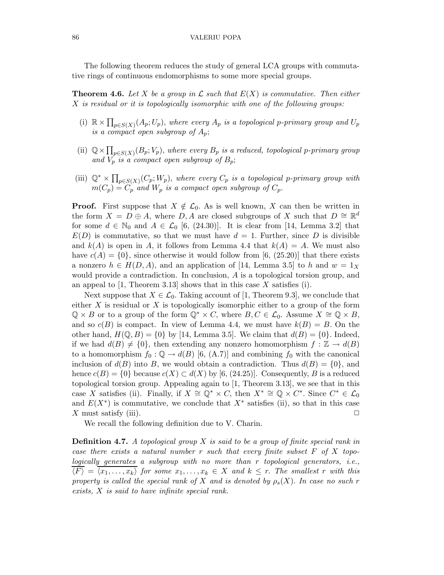The following theorem reduces the study of general LCA groups with commutative rings of continuous endomorphisms to some more special groups.

**Theorem 4.6.** Let X be a group in L such that  $E(X)$  is commutative. Then either X is residual or it is topologically isomorphic with one of the following groups:

- (i)  $\mathbb{R} \times \prod_{p \in S(X)} (A_p; U_p)$ , where every  $A_p$  is a topological p-primary group and  $U_p$ is a compact open subgroup of  $A_p$ ;
- (ii)  $\mathbb{Q} \times \prod_{p \in S(X)} (B_p; V_p)$ , where every  $B_p$  is a reduced, topological p-primary group and  $V_p$  is a compact open subgroup of  $B_p$ ;
- (iii)  $\mathbb{Q}^* \times \prod_{p \in S(X)} (C_p; W_p)$ , where every  $C_p$  is a topological p-primary group with  $m(C_p) = C_p$  and  $W_p$  is a compact open subgroup of  $C_p$ .

**Proof.** First suppose that  $X \notin \mathcal{L}_0$ . As is well known, X can then be written in the form  $X = D \oplus A$ , where D, A are closed subgroups of X such that  $D \cong \mathbb{R}^d$ for some  $d \in \mathbb{N}_0$  and  $A \in \mathcal{L}_0$  [6, (24.30)]. It is clear from [14, Lemma 3.2] that  $E(D)$  is commutative, so that we must have  $d = 1$ . Further, since D is divisible and  $k(A)$  is open in A, it follows from Lemma 4.4 that  $k(A) = A$ . We must also have  $c(A) = \{0\}$ , since otherwise it would follow from [6, (25.20)] that there exists a nonzero  $h \in H(D, A)$ , and an application of [14, Lemma 3.5] to h and  $w = 1_X$ would provide a contradiction. In conclusion, A is a topological torsion group, and an appeal to  $\vert 1$ , Theorem 3.13 shows that in this case X satisfies (i).

Next suppose that  $X \in \mathcal{L}_0$ . Taking account of [1, Theorem 9.3], we conclude that either  $X$  is residual or  $X$  is topologically isomorphic either to a group of the form  $\mathbb{Q} \times B$  or to a group of the form  $\mathbb{Q}^* \times C$ , where  $B, C \in \mathcal{L}_0$ . Assume  $X \cong \mathbb{Q} \times B$ , and so  $c(B)$  is compact. In view of Lemma 4.4, we must have  $k(B) = B$ . On the other hand,  $H(\mathbb{Q}, B) = \{0\}$  by [14, Lemma 3.5]. We claim that  $d(B) = \{0\}$ . Indeed, if we had  $d(B) \neq \{0\}$ , then extending any nonzero homomorphism  $f : \mathbb{Z} \to d(B)$ to a homomorphism  $f_0 : \mathbb{Q} \to d(B)$  [6, (A.7)] and combining  $f_0$  with the canonical inclusion of  $d(B)$  into B, we would obtain a contradiction. Thus  $d(B) = \{0\}$ , and hence  $c(B) = \{0\}$  because  $c(X) \subset d(X)$  by [6, (24.25)]. Consequently, B is a reduced topological torsion group. Appealing again to [1, Theorem 3.13], we see that in this case X satisfies (ii). Finally, if  $X \cong \mathbb{Q}^* \times C$ , then  $X^* \cong \mathbb{Q} \times C^*$ . Since  $C^* \in \mathcal{L}_0$ and  $E(X^*)$  is commutative, we conclude that  $X^*$  satisfies (ii), so that in this case X must satisfy (iii).  $\Box$ 

We recall the following definition due to V. Charin.

**Definition 4.7.** A topological group X is said to be a group of finite special rank in case there exists a natural number r such that every finite subset  $F$  of  $X$  topologically generates a subgroup with no more than r topological generators, i.e.,  $\langle F \rangle = \langle x_1,\ldots, x_k \rangle$  for some  $x_1,\ldots, x_k \in X$  and  $k \leq r$ . The smallest r with this property is called the special rank of X and is denoted by  $\rho_s(X)$ . In case no such r exists, X is said to have infinite special rank.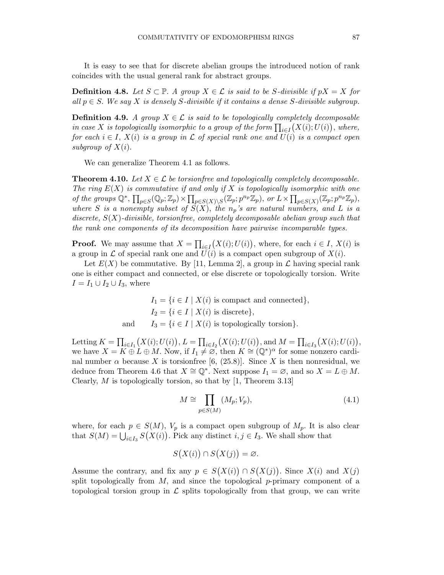It is easy to see that for discrete abelian groups the introduced notion of rank coincides with the usual general rank for abstract groups.

**Definition 4.8.** Let  $S \subset \mathbb{P}$ . A group  $X \in \mathcal{L}$  is said to be S-divisible if  $pX = X$  for all  $p \in S$ . We say X is densely S-divisible if it contains a dense S-divisible subgroup.

**Definition 4.9.** A group  $X \in \mathcal{L}$  is said to be topologically completely decomposable in case X is topologically isomorphic to a group of the form  $\prod_{i\in I}(X(i);U(i))$ , where, for each  $i \in I$ ,  $X(i)$  is a group in  $\mathcal L$  of special rank one and  $U(i)$  is a compact open subgroup of  $X(i)$ .

We can generalize Theorem 4.1 as follows.

**Theorem 4.10.** Let  $X \in \mathcal{L}$  be torsionfree and topologically completely decomposable. The ring  $E(X)$  is commutative if and only if X is topologically isomorphic with one of the groups  $\mathbb{Q}^*, \prod_{p\in S}(\mathbb{Q}_p; \mathbb{Z}_p) \times \prod_{p\in S(X)\backslash S}(\mathbb{Z}_p; p^{n_p}\mathbb{Z}_p)$ , or  $L \times \prod_{p\in S(X)}(\mathbb{Z}_p; p^{n_p}\mathbb{Z}_p)$ , where S is a nonempty subset of  $S(X)$ , the  $n_p$ 's are natural numbers, and L is a discrete,  $S(X)$ -divisible, torsionfree, completely decomposable abelian group such that the rank one components of its decomposition have pairwise incomparable types.

**Proof.** We may assume that  $X = \prod_{i \in I} (X(i); U(i))$ , where, for each  $i \in I$ ,  $X(i)$  is a group in L of special rank one and  $U(i)$  is a compact open subgroup of  $X(i)$ .

Let  $E(X)$  be commutative. By [11, Lemma 2], a group in  $\mathcal L$  having special rank one is either compact and connected, or else discrete or topologically torsion. Write  $I = I_1 \cup I_2 \cup I_3$ , where

> $I_1 = \{i \in I \mid X(i) \text{ is compact and connected}\},\$  $I_2 = \{i \in I \mid X(i) \text{ is discrete}\},\$ and  $I_3 = \{i \in I \mid X(i) \text{ is topologically torsion}\}.$

Letting  $K = \prod_{i \in I_1} (X(i); U(i)), L = \prod_{i \in I_2} (X(i); U(i)),$  and  $M = \prod_{i \in I_3} (X(i); U(i)),$ we have  $X = K \oplus L \oplus M$ . Now, if  $I_1 \neq \emptyset$ , then  $K \cong (\mathbb{Q}^*)^{\alpha}$  for some nonzero cardinal number  $\alpha$  because X is torsionfree [6, (25.8)]. Since X is then nonresidual, we deduce from Theorem 4.6 that  $X \cong \mathbb{Q}^*$ . Next suppose  $I_1 = \emptyset$ , and so  $X = L \oplus M$ . Clearly,  $M$  is topologically torsion, so that by [1, Theorem 3.13]

$$
M \cong \prod_{p \in S(M)} (M_p; V_p), \tag{4.1}
$$

where, for each  $p \in S(M)$ ,  $V_p$  is a compact open subgroup of  $M_p$ . It is also clear that  $S(M) = \bigcup_{i \in I_3} S(X(i))$ . Pick any distinct  $i, j \in I_3$ . We shall show that

$$
S(X(i)) \cap S(X(j)) = \varnothing.
$$

Assume the contrary, and fix any  $p \in S(X(i)) \cap S(X(j))$ . Since  $X(i)$  and  $X(j)$ split topologically from  $M$ , and since the topological p-primary component of a topological torsion group in  $\mathcal L$  splits topologically from that group, we can write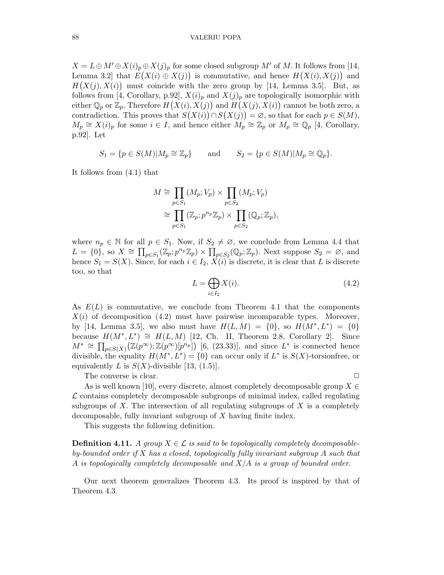$X = L \oplus M' \oplus X(i)_p \oplus X(j)_p$  for some closed subgroup M' of M. It follows from [14, Lemma 3.2 that  $E(X(i) \oplus X(j))$  is commutative, and hence  $H(X(i), X(j))$  and  $H(X(j), X(i))$  must coincide with the zero group by [14, Lemma 3.5]. But, as follows from [4, Corollary, p.92],  $X(i)_p$  and  $X(j)_p$  are topologically isomorphic with either  $\mathbb{Q}_p$  or  $\mathbb{Z}_p$ . Therefore  $H(X(i), X(j))$  and  $H(X(j), X(i))$  cannot be both zero, a contradiction. This proves that  $S(X(i)) \cap S(X(j)) = \emptyset$ , so that for each  $p \in S(M)$ ,  $M_p \cong X(i)_p$  for some  $i \in I$ , and hence either  $M_p \cong \mathbb{Z}_p$  or  $M_p \cong \mathbb{Q}_p$  [4, Corollary, p.92]. Let

 $S_1 = \{p \in S(M)|M_p \cong \mathbb{Z}_p\}$  and  $S_2 = \{p \in S(M)|M_p \cong \mathbb{Q}_p\}.$ 

It follows from (4.1) that

$$
M \cong \prod_{p \in S_1} (M_p; V_p) \times \prod_{p \in S_2} (M_p; V_p)
$$
  
\n
$$
\cong \prod_{p \in S_1} (\mathbb{Z}_p; p^{n_p} \mathbb{Z}_p) \times \prod_{p \in S_2} (\mathbb{Q}_p; \mathbb{Z}_p),
$$

where  $n_p \in \mathbb{N}$  for all  $p \in S_1$ . Now, if  $S_2 \neq \emptyset$ , we conclude from Lemma 4.4 that  $L = \{0\}$ , so  $X \cong \prod_{p \in S_1} (\mathbb{Z}_p; p^{n_p} \mathbb{Z}_p) \times \prod_{p \in S_2} (\mathbb{Q}_p; \mathbb{Z}_p)$ . Next suppose  $S_2 = \emptyset$ , and hence  $S_1 = S(X)$ . Since, for each  $i \in I_2$ ,  $\dot{X}(i)$  is discrete, it is clear that L is discrete too, so that

$$
L = \bigoplus_{i \in I_2} X(i). \tag{4.2}
$$

As  $E(L)$  is commutative, we conclude from Theorem 4.1 that the components  $X(i)$  of decomposition (4.2) must have pairwise incomparable types. Moreover, by [14, Lemma 3.5], we also must have  $H(L, M) = \{0\}$ , so  $H(M^*, L^*) = \{0\}$ because  $H(M^*, L^*) \cong H(L, M)$  [12, Ch. II, Theorem 2.8, Corollary 2]. Since  $M^* \cong \prod_{p \in S(X)} (\mathbb{Z}(p^{\infty}); \mathbb{Z}(p^{\infty})[p^{n_p}])$  [6, (23.33)], and since  $L^*$  is connected hence divisible, the equality  $H(M^*, L^*) = \{0\}$  can occur only if  $L^*$  is  $S(X)$ -torsionfree, or equivalently L is  $S(X)$ -divisible [13, (1.5)].

The converse is clear.  $\Box$ 

As is well known [10], every discrete, almost completely decomposable group  $X \in$  $\mathcal L$  contains completely decomposable subgroups of minimal index, called regulating subgroups of  $X$ . The intersection of all regulating subgroups of  $X$  is a completely decomposable, fully invariant subgroup of X having finite index.

This suggests the following definition.

**Definition 4.11.** A group  $X \in \mathcal{L}$  is said to be topologically completely decomposableby-bounded order if  $X$  has a closed, topologically fully invariant subgroup  $A$  such that A is topologically completely decomposable and  $X/A$  is a group of bounded order.

Our next theorem generalizes Theorem 4.3. Its proof is inspired by that of Theorem 4.3.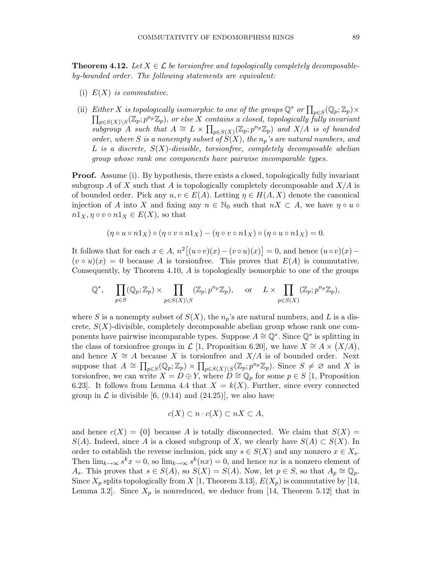**Theorem 4.12.** Let  $X \in \mathcal{L}$  be torsionfree and topologically completely decomposableby-bounded order. The following statements are equivalent:

- (i)  $E(X)$  is commutative.
- (ii) Either X is topologically isomorphic to one of the groups  $\mathbb{Q}^*$  or  $\prod_{p\in S}(\mathbb{Q}_p;\mathbb{Z}_p)\times$  $\prod_{p\in S(X)\backslash S}(\mathbb{Z}_p;p^{n_p}\mathbb{Z}_p),$  or else X contains a closed, topologically fully invariant subgroup A such that  $A \cong L \times \prod_{p \in S(X)} (\mathbb{Z}_p; p^{n_p} \mathbb{Z}_p)$  and  $X/A$  is of bounded order, where S is a nonempty subset of  $S(X)$ , the  $n_p$ 's are natural numbers, and  $L$  is a discrete,  $S(X)$ -divisible, torsionfree, completely decomposable abelian group whose rank one components have pairwise incomparable types.

Proof. Assume (i). By hypothesis, there exists a closed, topologically fully invariant subgroup A of X such that A is topologically completely decomposable and  $X/A$  is of bounded order. Pick any  $u, v \in E(A)$ . Letting  $\eta \in H(A, X)$  denote the canonical injection of A into X and fixing any  $n \in \mathbb{N}_0$  such that  $nX \subset A$ , we have  $\eta \circ u \circ$  $n1_X, \eta \circ v \circ n1_X \in E(X)$ , so that

$$
(\eta \circ u \circ n1_X) \circ (\eta \circ v \circ n1_X) - (\eta \circ v \circ n1_X) \circ (\eta \circ u \circ n1_X) = 0.
$$

It follows that for each  $x \in A$ ,  $n^2 [(u \circ v)(x) - (v \circ u)(x)] = 0$ , and hence  $(u \circ v)(x) (v \circ u)(x) = 0$  because A is torsionfree. This proves that  $E(A)$  is commutative. Consequently, by Theorem 4.10, A is topologically isomorphic to one of the groups

$$
\mathbb{Q}^*, \quad \prod_{p \in S} (\mathbb{Q}_p; \mathbb{Z}_p) \times \prod_{p \in S(X) \setminus S} (\mathbb{Z}_p; p^{n_p} \mathbb{Z}_p), \quad \text{or} \quad L \times \prod_{p \in S(X)} (\mathbb{Z}_p; p^{n_p} \mathbb{Z}_p),
$$

where S is a nonempty subset of  $S(X)$ , the  $n_p$ 's are natural numbers, and L is a discrete,  $S(X)$ -divisible, completely decomposable abelian group whose rank one components have pairwise incomparable types. Suppose  $A \cong \mathbb{Q}^*$ . Since  $\mathbb{Q}^*$  is splitting in the class of torsionfree groups in  $\mathcal{L}$  [1, Proposition 6.20], we have  $X \cong A \times (X/A)$ , and hence  $X \cong A$  because X is torsionfree and  $X/A$  is of bounded order. Next suppose that  $A \cong \prod_{p\in S}(\mathbb{Q}_p;\mathbb{Z}_p) \times \prod_{p\in S(X)\backslash S}(\mathbb{Z}_p;p^{n_p}\mathbb{Z}_p)$ . Since  $S \neq \emptyset$  and X is torsionfree, we can write  $X = D \oplus Y$ , where  $D \cong \mathbb{Q}_p$  for some  $p \in S$  [1, Proposition 6.23. It follows from Lemma 4.4 that  $X = k(X)$ . Further, since every connected group in  $\mathcal L$  is divisible [6, (9.14) and (24.25)], we also have

$$
c(X) \subset n \cdot c(X) \subset nX \subset A,
$$

and hence  $c(X) = \{0\}$  because A is totally disconnected. We claim that  $S(X) =$  $S(A)$ . Indeed, since A is a closed subgroup of X, we clearly have  $S(A) \subset S(X)$ . In order to establish the reverse inclusion, pick any  $s \in S(X)$  and any nonzero  $x \in X_s$ . Then  $\lim_{k\to\infty} s^k x = 0$ , so  $\lim_{k\to\infty} s^k (nx) = 0$ , and hence nx is a nonzero element of  $A_s$ . This proves that  $s \in S(A)$ , so  $S(X) = S(A)$ . Now, let  $p \in S$ , so that  $A_p \cong \mathbb{Q}_p$ . Since  $X_p$  splits topologically from X [1, Theorem 3.13],  $E(X_p)$  is commutative by [14, Lemma 3.2. Since  $X_p$  is nonreduced, we deduce from [14, Theorem 5.12] that in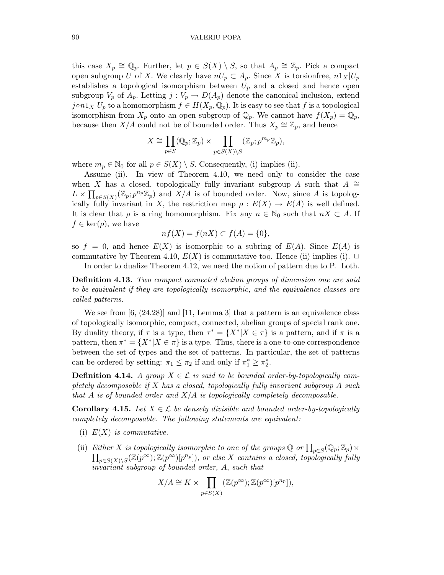this case  $X_p \cong \mathbb{Q}_p$ . Further, let  $p \in S(X) \setminus S$ , so that  $A_p \cong \mathbb{Z}_p$ . Pick a compact open subgroup U of X. We clearly have  $nU_p \subset A_p$ . Since X is torsionfree,  $n1_X | U_p$ establishes a topological isomorphism between  $U_p$  and a closed and hence open subgroup  $V_p$  of  $A_p$ . Letting  $j: V_p \to D(A_p)$  denote the canonical inclusion, extend  $j \circ n1_X |U_p$  to a homomorphism  $f \in H(X_p, \mathbb{Q}_p)$ . It is easy to see that f is a topological isomorphism from  $X_p$  onto an open subgroup of  $\mathbb{Q}_p$ . We cannot have  $f(X_p) = \mathbb{Q}_p$ , because then X/A could not be of bounded order. Thus  $X_p \cong \mathbb{Z}_p$ , and hence

$$
X \cong \prod_{p \in S} (\mathbb{Q}_p; \mathbb{Z}_p) \times \prod_{p \in S(X) \setminus S} (\mathbb{Z}_p; p^{m_p} \mathbb{Z}_p),
$$

where  $m_p \in \mathbb{N}_0$  for all  $p \in S(X) \setminus S$ . Consequently, (i) implies (ii).

Assume (ii). In view of Theorem 4.10, we need only to consider the case when X has a closed, topologically fully invariant subgroup A such that  $A \cong$  $L \times \prod_{p \in S(X)} (\mathbb{Z}_p; p^{n_p} \mathbb{Z}_p)$  and  $X/A$  is of bounded order. Now, since A is topologically fully invariant in X, the restriction map  $\rho : E(X) \to E(A)$  is well defined. It is clear that  $\rho$  is a ring homomorphism. Fix any  $n \in \mathbb{N}_0$  such that  $nX \subset A$ . If  $f \in \text{ker}(\rho)$ , we have

$$
nf(X) = f(nX) \subset f(A) = \{0\},
$$

so  $f = 0$ , and hence  $E(X)$  is isomorphic to a subring of  $E(A)$ . Since  $E(A)$  is commutative by Theorem 4.10,  $E(X)$  is commutative too. Hence (ii) implies (i).  $\Box$ 

In order to dualize Theorem 4.12, we need the notion of pattern due to P. Loth.

Definition 4.13. Two compact connected abelian groups of dimension one are said to be equivalent if they are topologically isomorphic, and the equivalence classes are called patterns.

We see from [6, (24.28)] and [11, Lemma 3] that a pattern is an equivalence class of topologically isomorphic, compact, connected, abelian groups of special rank one. By duality theory, if  $\tau$  is a type, then  $\tau^* = \{X^* | X \in \tau\}$  is a pattern, and if  $\pi$  is a pattern, then  $\pi^* = \{X^* | X \in \pi\}$  is a type. Thus, there is a one-to-one correspondence between the set of types and the set of patterns. In particular, the set of patterns can be ordered by setting:  $\pi_1 \leq \pi_2$  if and only if  $\pi_1^* \geq \pi_2^*$ .

**Definition 4.14.** A group  $X \in \mathcal{L}$  is said to be bounded order-by-topologically completely decomposable if X has a closed, topologically fully invariant subgroup A such that A is of bounded order and  $X/A$  is topologically completely decomposable.

**Corollary 4.15.** Let  $X \in \mathcal{L}$  be densely divisible and bounded order-by-topologically completely decomposable. The following statements are equivalent:

- (i)  $E(X)$  is commutative.
- (ii) Either X is topologically isomorphic to one of the groups  $\mathbb{Q}$  or  $\prod_{p\in S}(\mathbb{Q}_p;\mathbb{Z}_p)\times$  $\prod_{p\in S(X)\backslash S}(\mathbb{Z}(p^{\infty});\mathbb{Z}(p^{\infty})[p^{n_p}]),$  or else X contains a closed, topologically fully invariant subgroup of bounded order, A, such that

$$
X/A \cong K \times \prod_{p \in S(X)} (\mathbb{Z}(p^{\infty}); \mathbb{Z}(p^{\infty})[p^{n_p}]),
$$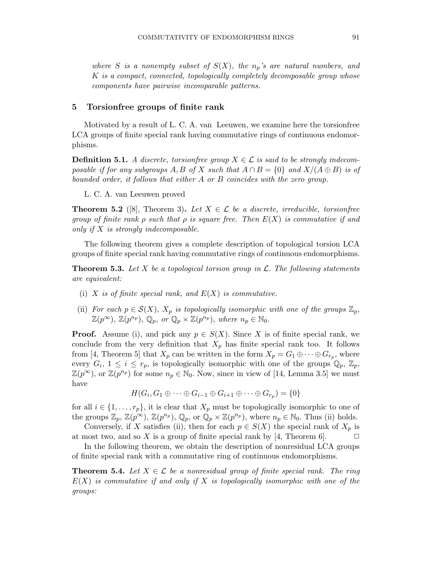where S is a nonempty subset of  $S(X)$ , the  $n_p$ 's are natural numbers, and K is a compact, connected, topologically completely decomposable group whose components have pairwise incomparable patterns.

# 5 Torsionfree groups of finite rank

Motivated by a result of L. C. A. van Leeuwen, we examine here the torsionfree LCA groups of finite special rank having commutative rings of continuous endomorphisms.

**Definition 5.1.** A discrete, torsionfree group  $X \in \mathcal{L}$  is said to be strongly indecomposable if for any subgroups A, B of X such that  $A \cap B = \{0\}$  and  $X/(A \oplus B)$  is of bounded order, it follows that either A or B coincides with the zero group.

L. C. A. van Leeuwen proved

**Theorem 5.2** ([8], Theorem 3). Let  $X \in \mathcal{L}$  be a discrete, irreducible, torsionfree group of finite rank  $\rho$  such that  $\rho$  is square free. Then  $E(X)$  is commutative if and only if X is strongly indecomposable.

The following theorem gives a complete description of topological torsion LCA groups of finite special rank having commutative rings of continuous endomorphisms.

**Theorem 5.3.** Let X be a topological torsion group in  $\mathcal{L}$ . The following statements are equivalent:

- (i) X is of finite special rank, and  $E(X)$  is commutative.
- (ii) For each  $p \in \mathcal{S}(X)$ ,  $X_p$  is topologically isomorphic with one of the groups  $\mathbb{Z}_p$ ,  $\mathbb{Z}(p^{\infty}), \ \mathbb{Z}(p^{n_p}), \ \mathbb{Q}_p, \text{ or } \mathbb{Q}_p \times \mathbb{Z}(p^{n_p}), \text{ where } n_p \in \mathbb{N}_0.$

**Proof.** Assume (i), and pick any  $p \in S(X)$ . Since X is of finite special rank, we conclude from the very definition that  $X_p$  has finite special rank too. It follows from [4, Theorem 5] that  $X_p$  can be written in the form  $X_p = G_1 \oplus \cdots \oplus G_{r_p}$ , where every  $G_i$ ,  $1 \leq i \leq r_p$ , is topologically isomorphic with one of the groups  $\mathbb{Q}_p$ ,  $\mathbb{Z}_p$ ,  $\mathbb{Z}(p^{\infty})$ , or  $\mathbb{Z}(p^{n_p})$  for some  $n_p \in \mathbb{N}_0$ . Now, since in view of [14, Lemma 3.5] we must have

$$
H(G_i, G_1 \oplus \cdots \oplus G_{i-1} \oplus G_{i+1} \oplus \cdots \oplus G_{r_p}) = \{0\}
$$

for all  $i \in \{1, \ldots, r_p\}$ , it is clear that  $X_p$  must be topologically isomorphic to one of the groups  $\mathbb{Z}_p$ ,  $\mathbb{Z}(p^{\infty})$ ,  $\mathbb{Z}(p^{n_p})$ ,  $\mathbb{Q}_p$ , or  $\mathbb{Q}_p \times \mathbb{Z}(p^{n_p})$ , where  $n_p \in \mathbb{N}_0$ . Thus (ii) holds.

Conversely, if X satisfies (ii), then for each  $p \in S(X)$  the special rank of  $X_p$  is at most two, and so X is a group of finite special rank by [4, Theorem 6].

In the following theorem, we obtain the description of nonresidual LCA groups of finite special rank with a commutative ring of continuous endomorphisms.

**Theorem 5.4.** Let  $X \in \mathcal{L}$  be a nonresidual group of finite special rank. The ring  $E(X)$  is commutative if and only if X is topologically isomorphic with one of the groups: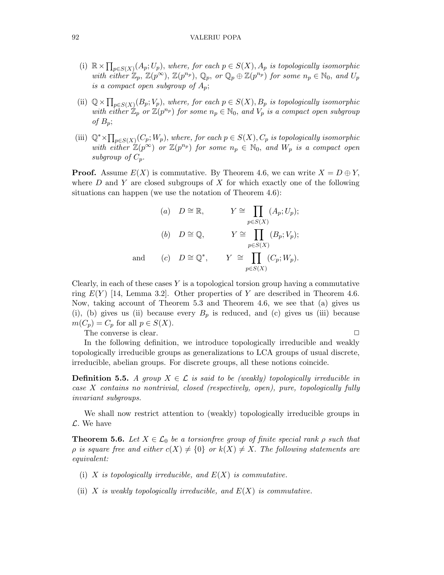- (i)  $\mathbb{R} \times \prod_{p \in S(X)} (A_p; U_p)$ , where, for each  $p \in S(X)$ ,  $A_p$  is topologically isomorphic with either  $\mathbb{Z}_p$ ,  $\mathbb{Z}(p^{\infty}), \mathbb{Z}(p^{n_p}), \mathbb{Q}_p$ , or  $\mathbb{Q}_p \oplus \mathbb{Z}(p^{n_p})$  for some  $n_p \in \mathbb{N}_0$ , and  $U_p$ is a compact open subgroup of  $A_p$ ;
- (ii)  $\mathbb{Q} \times \prod_{p \in S(X)} (B_p; V_p)$ , where, for each  $p \in S(X)$ ,  $B_p$  is topologically isomorphic with either  $\mathbb{Z}_p$  or  $\mathbb{Z}(p^{n_p})$  for some  $n_p \in \mathbb{N}_0$ , and  $V_p$  is a compact open subgroup of  $B_p$ ;
- (iii)  $\mathbb{Q}^* \times \prod_{p \in S(X)} (C_p; W_p)$ , where, for each  $p \in S(X)$ ,  $C_p$  is topologically isomorphic with either  $\mathbb{Z}(p^{\infty})$  or  $\mathbb{Z}(p^{n_p})$  for some  $n_p \in \mathbb{N}_0$ , and  $W_p$  is a compact open subgroup of  $C_p$ .

**Proof.** Assume  $E(X)$  is commutative. By Theorem 4.6, we can write  $X = D \oplus Y$ , where  $D$  and  $Y$  are closed subgroups of  $X$  for which exactly one of the following situations can happen (we use the notation of Theorem 4.6):

(a) 
$$
D \cong \mathbb{R}
$$
,  $Y \cong \prod_{p \in S(X)} (A_p; U_p);$   
\n(b)  $D \cong \mathbb{Q}$ ,  $Y \cong \prod_{p \in S(X)} (B_p; V_p);$   
\nand (c)  $D \cong \mathbb{Q}^*$ ,  $Y \cong \prod_{p \in S(X)} (C_p; W_p).$ 

Clearly, in each of these cases  $Y$  is a topological torsion group having a commutative ring  $E(Y)$  [14, Lemma 3.2]. Other properties of Y are described in Theorem 4.6. Now, taking account of Theorem 5.3 and Theorem 4.6, we see that (a) gives us (i), (b) gives us (ii) because every  $B_p$  is reduced, and (c) gives us (iii) because  $m(C_p) = C_p$  for all  $p \in S(X)$ .

The converse is clear.  $\Box$ 

In the following definition, we introduce topologically irreducible and weakly topologically irreducible groups as generalizations to LCA groups of usual discrete, irreducible, abelian groups. For discrete groups, all these notions coincide.

**Definition 5.5.** A group  $X \in \mathcal{L}$  is said to be (weakly) topologically irreducible in case X contains no nontrivial, closed (respectively, open), pure, topologically fully invariant subgroups.

We shall now restrict attention to (weakly) topologically irreducible groups in  $\mathcal{L}$ . We have

**Theorem 5.6.** Let  $X \in \mathcal{L}_0$  be a torsionfree group of finite special rank  $\rho$  such that  $\rho$  is square free and either  $c(X) \neq \{0\}$  or  $k(X) \neq X$ . The following statements are equivalent:

- (i) X is topologically irreducible, and  $E(X)$  is commutative.
- (ii) X is weakly topologically irreducible, and  $E(X)$  is commutative.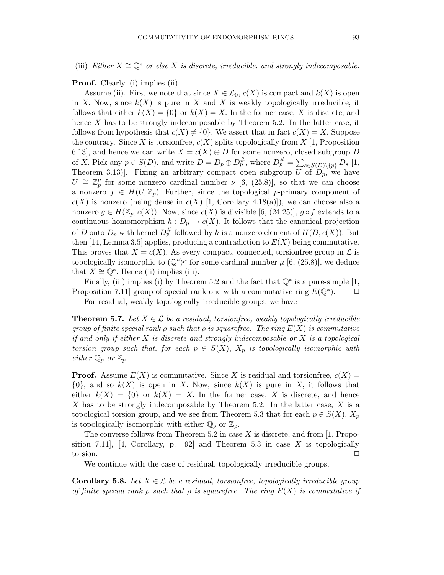Proof. Clearly, (i) implies (ii).

Assume (ii). First we note that since  $X \in \mathcal{L}_0$ ,  $c(X)$  is compact and  $k(X)$  is open in X. Now, since  $k(X)$  is pure in X and X is weakly topologically irreducible, it follows that either  $k(X) = \{0\}$  or  $k(X) = X$ . In the former case, X is discrete, and hence X has to be strongly indecomposable by Theorem 5.2. In the latter case, it follows from hypothesis that  $c(X) \neq \{0\}$ . We assert that in fact  $c(X) = X$ . Suppose the contrary. Since X is torsionfree,  $c(X)$  splits topologically from X [1, Proposition 6.13], and hence we can write  $X = c(X) \oplus D$  for some nonzero, closed subgroup D of X. Pick any  $p \in S(D)$ , and write  $D = D_p \oplus D_p^{\#}$ , where  $D_p^{\#} = \overline{\sum_{s \in S(D) \setminus \{p\}} D_s}$  [1, Theorem 3.13). Fixing an arbitrary compact open subgroup  $\overline{U}$  of  $\overline{D}_p$ , we have  $U \cong \mathbb{Z}_p^{\nu}$  for some nonzero cardinal number  $\nu$  [6, (25.8)], so that we can choose a nonzero  $f \in H(U, \mathbb{Z}_p)$ . Further, since the topological p-primary component of  $c(X)$  is nonzero (being dense in  $c(X)$  [1, Corollary 4.18(a)]), we can choose also a nonzero  $g \in H(\mathbb{Z}_p, c(X))$ . Now, since  $c(X)$  is divisible [6, (24.25)],  $g \circ f$  extends to a continuous homomorphism  $h: D_p \to c(X)$ . It follows that the canonical projection of D onto  $D_p$  with kernel  $D_p^{\#}$  followed by h is a nonzero element of  $H(D, c(X))$ . But then [14, Lemma 3.5] applies, producing a contradiction to  $E(X)$  being commutative. This proves that  $X = c(X)$ . As every compact, connected, torsionfree group in  $\mathcal L$  is topologically isomorphic to  $(\mathbb{Q}^*)^{\mu}$  for some cardinal number  $\mu$  [6, (25.8)], we deduce that  $X \cong \mathbb{Q}^*$ . Hence (ii) implies (iii).

Finally, (iii) implies (i) by Theorem 5.2 and the fact that  $\mathbb{Q}^*$  is a pure-simple [1, Proposition 7.11 group of special rank one with a commutative ring  $E(\mathbb{Q}^*)$ .

For residual, weakly topologically irreducible groups, we have

**Theorem 5.7.** Let  $X \in \mathcal{L}$  be a residual, torsionfree, weakly topologically irreducible group of finite special rank  $\rho$  such that  $\rho$  is squarefree. The ring  $E(X)$  is commutative if and only if either  $X$  is discrete and strongly indecomposable or  $X$  is a topological torsion group such that, for each  $p \in S(X)$ ,  $X_p$  is topologically isomorphic with either  $\mathbb{Q}_p$  or  $\mathbb{Z}_p$ .

**Proof.** Assume  $E(X)$  is commutative. Since X is residual and torsionfree,  $c(X)$  =  $\{0\}$ , and so  $k(X)$  is open in X. Now, since  $k(X)$  is pure in X, it follows that either  $k(X) = \{0\}$  or  $k(X) = X$ . In the former case, X is discrete, and hence X has to be strongly indecomposable by Theorem 5.2. In the latter case, X is a topological torsion group, and we see from Theorem 5.3 that for each  $p \in S(X)$ ,  $X_p$ is topologically isomorphic with either  $\mathbb{Q}_p$  or  $\mathbb{Z}_p$ .

The converse follows from Theorem 5.2 in case  $X$  is discrete, and from [1, Proposition 7.11], [4, Corollary, p. 92] and Theorem 5.3 in case  $X$  is topologically  $\Box$   $\Box$ 

We continue with the case of residual, topologically irreducible groups.

**Corollary 5.8.** Let  $X \in \mathcal{L}$  be a residual, torsionfree, topologically irreducible group of finite special rank  $\rho$  such that  $\rho$  is squarefree. The ring  $E(X)$  is commutative if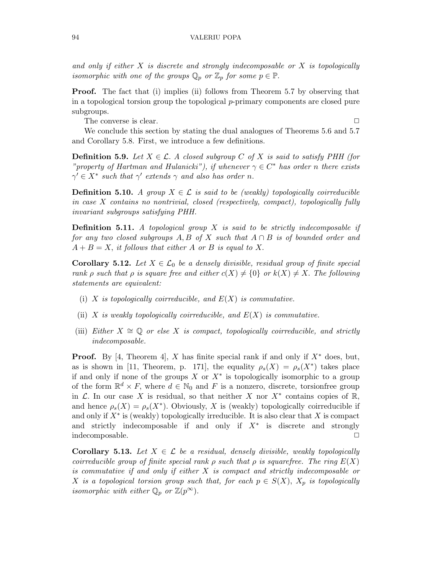and only if either  $X$  is discrete and strongly indecomposable or  $X$  is topologically isomorphic with one of the groups  $\mathbb{Q}_p$  or  $\mathbb{Z}_p$  for some  $p \in \mathbb{P}$ .

Proof. The fact that (i) implies (ii) follows from Theorem 5.7 by observing that in a topological torsion group the topological  $p$ -primary components are closed pure subgroups.

The converse is clear.  $\Box$ 

We conclude this section by stating the dual analogues of Theorems 5.6 and 5.7 and Corollary 5.8. First, we introduce a few definitions.

**Definition 5.9.** Let  $X \in \mathcal{L}$ . A closed subgroup C of X is said to satisfy PHH (for "property of Hartman and Hulanicki"), if whenever  $\gamma \in C^*$  has order n there exists  $\gamma' \in X^*$  such that  $\gamma'$  extends  $\gamma$  and also has order n.

**Definition 5.10.** A group  $X \in \mathcal{L}$  is said to be (weakly) topologically coirreducible in case X contains no nontrivial, closed (respectively, compact), topologically fully invariant subgroups satisfying PHH.

**Definition 5.11.** A topological group  $X$  is said to be strictly indecomposable if for any two closed subgroups A, B of X such that  $A \cap B$  is of bounded order and  $A + B = X$ , it follows that either A or B is equal to X.

**Corollary 5.12.** Let  $X \in \mathcal{L}_0$  be a densely divisible, residual group of finite special rank  $\rho$  such that  $\rho$  is square free and either  $c(X) \neq \{0\}$  or  $k(X) \neq X$ . The following statements are equivalent:

- (i) X is topologically coirreducible, and  $E(X)$  is commutative.
- (ii) X is weakly topologically coirreducible, and  $E(X)$  is commutative.
- (iii) Either  $X \cong \mathbb{Q}$  or else X is compact, topologically correducible, and strictly indecomposable.

**Proof.** By [4, Theorem 4], X has finite special rank if and only if  $X^*$  does, but, as is shown in [11, Theorem, p. 171], the equality  $\rho_s(X) = \rho_s(X^*)$  takes place if and only if none of the groups  $X$  or  $X^*$  is topologically isomorphic to a group of the form  $\mathbb{R}^d \times F$ , where  $d \in \mathbb{N}_0$  and F is a nonzero, discrete, torsionfree group in  $\mathcal L$ . In our case X is residual, so that neither X nor  $X^*$  contains copies of  $\mathbb R$ , and hence  $\rho_s(X) = \rho_s(X^*)$ . Obviously, X is (weakly) topologically coirreducible if and only if  $X^*$  is (weakly) topologically irreducible. It is also clear that X is compact and strictly indecomposable if and only if  $X^*$  is discrete and strongly indecomposable.

**Corollary 5.13.** Let  $X \in \mathcal{L}$  be a residual, densely divisible, weakly topologically coirreducible group of finite special rank  $\rho$  such that  $\rho$  is squarefree. The ring  $E(X)$ is commutative if and only if either X is compact and strictly indecomposable or X is a topological torsion group such that, for each  $p \in S(X)$ ,  $X_p$  is topologically isomorphic with either  $\mathbb{Q}_p$  or  $\mathbb{Z}(p^{\infty})$ .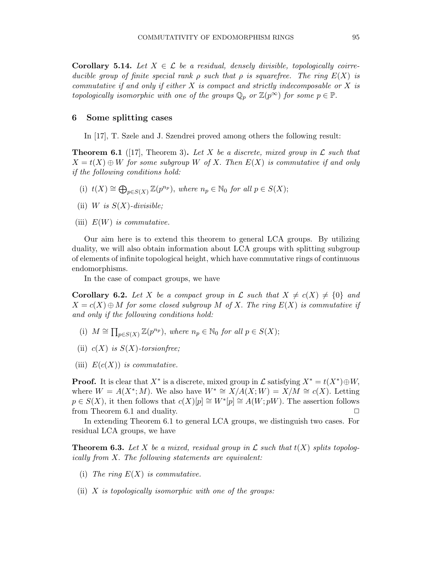**Corollary 5.14.** Let  $X \in \mathcal{L}$  be a residual, densely divisible, topologically coirreducible group of finite special rank  $\rho$  such that  $\rho$  is squarefree. The ring  $E(X)$  is commutative if and only if either  $X$  is compact and strictly indecomposable or  $X$  is topologically isomorphic with one of the groups  $\mathbb{Q}_p$  or  $\mathbb{Z}(p^{\infty})$  for some  $p \in \mathbb{P}$ .

# 6 Some splitting cases

In [17], T. Szele and J. Szendrei proved among others the following result:

**Theorem 6.1** ([17], Theorem 3). Let X be a discrete, mixed group in  $\mathcal{L}$  such that  $X = t(X) \oplus W$  for some subgroup W of X. Then  $E(X)$  is commutative if and only if the following conditions hold:

- (i)  $t(X) \cong \bigoplus_{p \in S(X)} \mathbb{Z}(p^{n_p}),$  where  $n_p \in \mathbb{N}_0$  for all  $p \in S(X);$
- (ii) W is  $S(X)$ -divisible;
- (iii)  $E(W)$  is commutative.

Our aim here is to extend this theorem to general LCA groups. By utilizing duality, we will also obtain information about LCA groups with splitting subgroup of elements of infinite topological height, which have commutative rings of continuous endomorphisms.

In the case of compact groups, we have

**Corollary 6.2.** Let X be a compact group in L such that  $X \neq c(X) \neq \{0\}$  and  $X = c(X) \oplus M$  for some closed subgroup M of X. The ring  $E(X)$  is commutative if and only if the following conditions hold:

- (i)  $M \cong \prod_{p \in S(X)} \mathbb{Z}(p^{n_p}),$  where  $n_p \in \mathbb{N}_0$  for all  $p \in S(X);$
- (ii)  $c(X)$  is  $S(X)$ -torsion free;
- (iii)  $E(c(X))$  is commutative.

**Proof.** It is clear that  $X^*$  is a discrete, mixed group in  $\mathcal{L}$  satisfying  $X^* = t(X^*) \oplus W$ , where  $W = A(X^*; M)$ . We also have  $W^* \cong X/A(X; W) = X/M \cong c(X)$ . Letting  $p \in S(X)$ , it then follows that  $c(X)[p] \cong W^*[p] \cong A(W; pW)$ . The assertion follows from Theorem 6.1 and duality.

In extending Theorem 6.1 to general LCA groups, we distinguish two cases. For residual LCA groups, we have

**Theorem 6.3.** Let X be a mixed, residual group in  $\mathcal L$  such that  $t(X)$  splits topologically from X. The following statements are equivalent:

- (i) The ring  $E(X)$  is commutative.
- (ii)  $X$  is topologically isomorphic with one of the groups: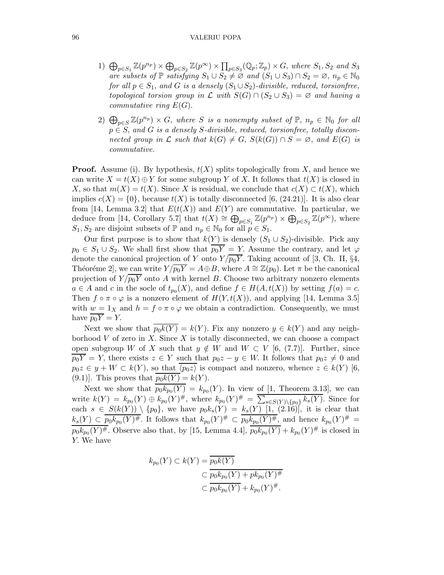- 1)  $\bigoplus_{p\in S_1} \mathbb{Z}(p^{n_p}) \times \bigoplus_{p\in S_2} \mathbb{Z}(p^{\infty}) \times \prod_{p\in S_3} (\mathbb{Q}_p; \mathbb{Z}_p) \times G$ , where  $S_1, S_2$  and  $S_3$ are subsets of  $\mathbb P$  satisfying  $S_1 \cup S_2 \neq \emptyset$  and  $(S_1 \cup S_3) \cap S_2 = \emptyset$ ,  $n_p \in \mathbb N_0$ for all  $p \in S_1$ , and G is a densely  $(S_1 \cup S_2)$ -divisible, reduced, torsionfree, topological torsion group in  $\mathcal L$  with  $S(G) \cap (S_2 \cup S_3) = \emptyset$  and having a commutative ring  $E(G)$ .
- 2)  $\bigoplus_{p\in S} \mathbb{Z}(p^{n_p})\times G$ , where S is a nonempty subset of  $\mathbb{P}, n_p \in \mathbb{N}_0$  for all  $p \in S$ , and G is a densely S-divisible, reduced, torsionfree, totally disconnected group in L such that  $k(G) \neq G$ ,  $S(k(G)) \cap S = \emptyset$ , and  $E(G)$  is commutative.

**Proof.** Assume (i). By hypothesis,  $t(X)$  splits topologically from X, and hence we can write  $X = t(X) \oplus Y$  for some subgroup Y of X. It follows that  $t(X)$  is closed in X, so that  $m(X) = t(X)$ . Since X is residual, we conclude that  $c(X) \subset t(X)$ , which implies  $c(X) = \{0\}$ , because  $t(X)$  is totally disconnected [6, (24.21)]. It is also clear from [14, Lemma 3.2] that  $E(t(X))$  and  $E(Y)$  are commutative. In particular, we deduce from [14, Corollary 5.7] that  $t(X) \cong \bigoplus_{p \in S_1} \mathbb{Z}(p^{n_p}) \times \bigoplus_{p \in S_2} \mathbb{Z}(p^{\infty})$ , where  $S_1, S_2$  are disjoint subsets of  $\mathbb P$  and  $n_p \in \mathbb N_0$  for all  $p \in S_1$ .

Our first purpose is to show that  $k(Y)$  is densely  $(S_1 \cup S_2)$ -divisible. Pick any  $p_0 \in S_1 \cup S_2$ . We shall first show that  $p_0Y = Y$ . Assume the contrary, and let  $\varphi$ denote the canonical projection of Y onto  $Y/p_0Y$ . Taking account of [3, Ch. II, §4, Théoréme 2], we can write  $Y/\overline{p_0Y} = A \oplus B$ , where  $A \cong \mathbb{Z}(p_0)$ . Let  $\pi$  be the canonical projection of  $Y/\overline{p_0Y}$  onto A with kernel B. Choose two arbitrary nonzero elements  $a \in A$  and c in the socle of  $t_{p_0}(X)$ , and define  $f \in H(A, t(X))$  by setting  $f(a) = c$ . Then  $f \circ \pi \circ \varphi$  is a nonzero element of  $H(Y, t(X))$ , and applying [14, Lemma 3.5] with  $w = 1_X$  and  $h = f \circ \pi \circ \varphi$  we obtain a contradiction. Consequently, we must have  $\overline{p_0Y} = Y$ .

Next we show that  $\overline{p_0k(Y)} = k(Y)$ . Fix any nonzero  $y \in k(Y)$  and any neighborhood  $V$  of zero in  $X$ . Since  $X$  is totally disconnected, we can choose a compact open subgroup W of X such that  $y \notin W$  and  $W \subset V$  [6, (7.7)]. Further, since  $\overline{p_0Y} = Y$ , there exists  $z \in Y$  such that  $p_0z - y \in W$ . It follows that  $p_0z \neq 0$  and  $p_0z \in y + W \subset k(Y)$ , so that  $\overline{\langle p_0z \rangle}$  is compact and nonzero, whence  $z \in k(Y)$  [6, (9.1)]. This proves that  $p_0k(Y) = k(Y)$ .

Next we show that  $p_0 k_{p_0}(Y) = k_{p_0}(Y)$ . In view of [1, Theorem 3.13], we can write  $k(Y) = k_{p_0}(Y) \oplus k_{p_0}(Y)^{\#}$ , where  $k_{p_0}(Y)^{\#} = \sum_{s \in S(Y) \setminus \{p_0\}} k_s(\overline{Y})$ . Since for each  $s \in S(k(Y)) \setminus \{p_0\}$ , we have  $p_0 k_s(Y) = k_s(Y)$  [1, (2.16)], it is clear that  $k_s(Y) \subset \overline{p_0k_{p_0}(Y)^\#}$ . It follows that  $k_{p_0}(Y)^\# \subset \overline{p_0k_{p_0}(Y)^\#}$ , and hence  $k_{p_0}(Y)^\# =$  $p_0k_{p_0}(Y)^{\#}$ . Observe also that, by [15, Lemma 4.4],  $\overline{p_0k_{p_0}(Y)} + k_{p_0}(Y)^{\#}$  is closed in Y. We have

$$
k_{p_0}(Y) \subset k(Y) = \frac{p_0 k(Y)}{p_0 k_{p_0}(Y) + p k_{p_0}(Y)^\#}
$$
  

$$
\subset \frac{p_0 k_{p_0}(Y) + p k_{p_0}(Y)^\#}{p_0 k_{p_0}(Y) + k_{p_0}(Y)^\#}.
$$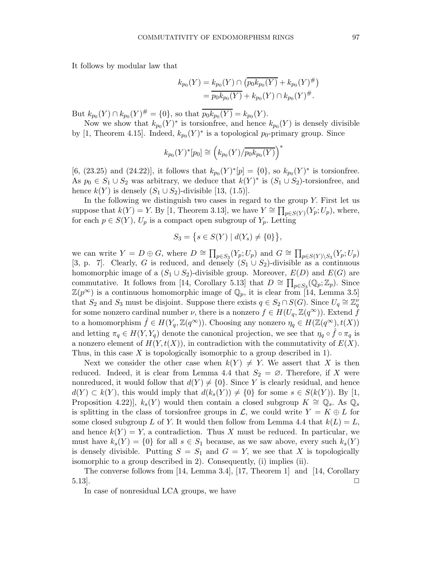It follows by modular law that

$$
k_{p_0}(Y) = k_{p_0}(Y) \cap (\overline{p_0 k_{p_0}(Y)} + k_{p_0}(Y)^{\#})
$$
  
=  $\overline{p_0 k_{p_0}(Y)} + k_{p_0}(Y) \cap k_{p_0}(Y)^{\#}.$ 

But  $k_{p_0}(Y) \cap k_{p_0}(Y)^{\#} = \{0\}$ , so that  $\overline{p_0k_{p_0}(Y)} = k_{p_0}(Y)$ .

Now we show that  $k_{p_0}(Y)^*$  is torsionfree, and hence  $k_{p_0}(Y)$  is densely divisible by [1, Theorem 4.15]. Indeed,  $k_{p_0}(Y)^*$  is a topological  $p_0$ -primary group. Since

$$
k_{p_0}(Y)^*[p_0] \cong \left(k_{p_0}(Y)/\overline{p_0k_{p_0}(Y)}\right)^*
$$

[6, (23.25) and (24.22)], it follows that  $k_{p_0}(Y)^*[p] = \{0\}$ , so  $k_{p_0}(Y)^*$  is torsionfree. As  $p_0 \in S_1 \cup S_2$  was arbitrary, we deduce that  $k(Y)^*$  is  $(S_1 \cup S_2)$ -torsionfree, and hence  $k(Y)$  is densely  $(S_1 \cup S_2)$ -divisible [13, (1.5)].

In the following we distinguish two cases in regard to the group Y. First let us suppose that  $k(Y) = Y$ . By [1, Theorem 3.13], we have  $Y \cong \prod_{p \in S(Y)} (Y_p; U_p)$ , where, for each  $p \in S(Y)$ ,  $U_p$  is a compact open subgroup of  $Y_p$ . Letting

$$
S_3 = \{ s \in S(Y) \mid d(Y_s) \neq \{0\} \},
$$

we can write  $Y = D \oplus G$ , where  $D \cong \prod_{p \in S_3}(Y_p; U_p)$  and  $G \cong \prod_{p \in S(Y) \setminus S_3}(Y_p; U_p)$ [3, p. 7]. Clearly, G is reduced, and densely  $(S_1 \cup S_2)$ -divisible as a continuous homomorphic image of a  $(S_1 \cup S_2)$ -divisible group. Moreover,  $E(D)$  and  $E(G)$  are commutative. It follows from [14, Corollary 5.13] that  $D \cong \prod_{p \in S_3}(\mathbb{Q}_p; \mathbb{Z}_p)$ . Since  $\mathbb{Z}(p^{\infty})$  is a continuous homomorphic image of  $\mathbb{Q}_p$ , it is clear from [14, Lemma 3.5] that  $S_2$  and  $S_3$  must be disjoint. Suppose there exists  $q \in S_2 \cap S(G)$ . Since  $U_q \cong \mathbb{Z}_q^{\nu}$ for some nonzero cardinal number  $\nu$ , there is a nonzero  $f \in H(U_q, \mathbb{Z}(q^{\infty}))$ . Extend f to a homomorphism  $\hat{f} \in H(Y_q, \mathbb{Z}(q^{\infty}))$ . Choosing any nonzero  $\eta_q \in H(\mathbb{Z}(q^{\infty}), t(X))$ and letting  $\pi_q \in H(Y, Y_q)$  denote the canonical projection, we see that  $\eta_q \circ \hat{f} \circ \pi_q$  is a nonzero element of  $H(Y,t(X))$ , in contradiction with the commutativity of  $E(X)$ . Thus, in this case X is topologically isomorphic to a group described in 1).

Next we consider the other case when  $k(Y) \neq Y$ . We assert that X is then reduced. Indeed, it is clear from Lemma 4.4 that  $S_2 = \emptyset$ . Therefore, if X were nonreduced, it would follow that  $d(Y) \neq \{0\}$ . Since Y is clearly residual, and hence  $d(Y) \subset k(Y)$ , this would imply that  $d(k_s(Y)) \neq \{0\}$  for some  $s \in S(k(Y))$ . By [1, Proposition 4.22)],  $k_s(Y)$  would then contain a closed subgroup  $K \cong \mathbb{Q}_s$ . As  $\mathbb{Q}_s$ is splitting in the class of torsionfree groups in  $\mathcal{L}$ , we could write  $Y = K \oplus L$  for some closed subgroup L of Y. It would then follow from Lemma 4.4 that  $k(L) = L$ , and hence  $k(Y) = Y$ , a contradiction. Thus X must be reduced. In particular, we must have  $k_s(Y) = \{0\}$  for all  $s \in S_1$  because, as we saw above, every such  $k_s(Y)$ is densely divisible. Putting  $S = S_1$  and  $G = Y$ , we see that X is topologically isomorphic to a group described in 2). Consequently, (i) implies (ii).

The converse follows from [14, Lemma 3.4], [17, Theorem 1] and [14, Corollary  $5.13$ .

In case of nonresidual LCA groups, we have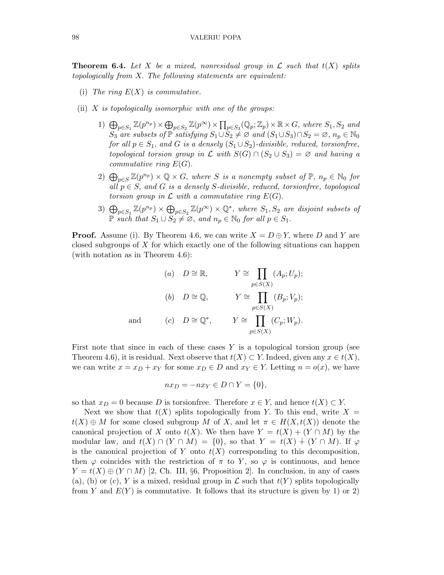**Theorem 6.4.** Let X be a mixed, nonresidual group in  $\mathcal L$  such that  $t(X)$  splits topologically from X. The following statements are equivalent:

- (i) The ring  $E(X)$  is commutative.
- (ii)  $X$  is topologically isomorphic with one of the groups:
	- 1)  $\bigoplus_{p\in S_1} \mathbb{Z}(p^{n_p}) \times \bigoplus_{p\in S_2} \mathbb{Z}(p^{\infty}) \times \prod_{p\in S_3} (\mathbb{Q}_p; \mathbb{Z}_p) \times \mathbb{R} \times G$ , where  $S_1, S_2$  and  $S_3$  are subsets of  $\mathbb P$  satisfying  $S_1 \cup S_2 \neq \emptyset$  and  $(S_1 \cup S_3) \cap S_2 = \emptyset$ ,  $n_p \in \mathbb N_0$ for all  $p \in S_1$ , and G is a densely  $(S_1 \cup S_2)$ -divisible, reduced, torsionfree, topological torsion group in  $\mathcal L$  with  $S(G) \cap (S_2 \cup S_3) = \emptyset$  and having a commutative ring  $E(G)$ .
	- 2)  $\bigoplus_{p\in S} \mathbb{Z}(p^{n_p})\times \mathbb{Q}\times G$ , where S is a nonempty subset of  $\mathbb{P}, n_p \in \mathbb{N}_0$  for all  $p \in S$ , and G is a densely S-divisible, reduced, torsionfree, topological torsion group in  $\mathcal L$  with a commutative ring  $E(G)$ .
	- 3)  $\bigoplus_{p\in S_1} \mathbb{Z}(p^{n_p}) \times \bigoplus_{p\in S_2} \mathbb{Z}(p^{\infty}) \times \mathbb{Q}^*$ , where  $S_1, S_2$  are disjoint subsets of P such that  $S_1 \cup S_2 \neq \emptyset$ , and  $n_p \in \mathbb{N}_0$  for all  $p \in S_1$ .

**Proof.** Assume (i). By Theorem 4.6, we can write  $X = D \oplus Y$ , where D and Y are closed subgroups of  $X$  for which exactly one of the following situations can happen (with notation as in Theorem 4.6):

(a) 
$$
D \cong \mathbb{R}
$$
,  $Y \cong \prod_{p \in S(X)} (A_p; U_p);$   
\n(b)  $D \cong \mathbb{Q}$ ,  $Y \cong \prod_{p \in S(X)} (B_p; V_p);$   
\nand (c)  $D \cong \mathbb{Q}^*$ ,  $Y \cong \prod_{p \in S(X)} (C_p; W_p).$ 

First note that since in each of these cases  $Y$  is a topological torsion group (see Theorem 4.6), it is residual. Next observe that  $t(X) \subset Y$ . Indeed, given any  $x \in t(X)$ , we can write  $x = x_D + x_Y$  for some  $x_D \in D$  and  $x_Y \in Y$ . Letting  $n = o(x)$ , we have

$$
nx_D = -nx_Y \in D \cap Y = \{0\},\
$$

so that  $x_D = 0$  because D is torsionfree. Therefore  $x \in Y$ , and hence  $t(X) \subset Y$ .

Next we show that  $t(X)$  splits topologically from Y. To this end, write  $X =$  $t(X) \oplus M$  for some closed subgroup M of X, and let  $\pi \in H(X,t(X))$  denote the canonical projection of X onto  $t(X)$ . We then have  $Y = t(X) + (Y \cap M)$  by the modular law, and  $t(X) \cap (Y \cap M) = \{0\}$ , so that  $Y = t(X) + (Y \cap M)$ . If  $\varphi$ is the canonical projection of Y onto  $t(X)$  corresponding to this decomposition, then  $\varphi$  coincides with the restriction of  $\pi$  to Y, so  $\varphi$  is continuous, and hence  $Y = t(X) \oplus (Y \cap M)$  [2, Ch. III, §6, Proposition 2]. In conclusion, in any of cases (a), (b) or (c), Y is a mixed, residual group in  $\mathcal L$  such that  $t(Y)$  splits topologically from Y and  $E(Y)$  is commutative. It follows that its structure is given by 1) or 2)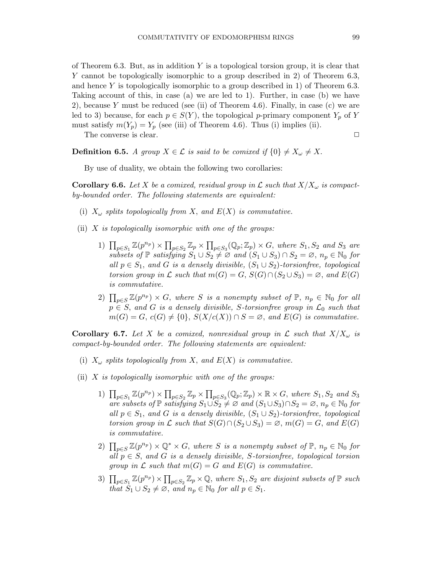of Theorem 6.3. But, as in addition  $Y$  is a topological torsion group, it is clear that Y cannot be topologically isomorphic to a group described in 2) of Theorem 6.3, and hence Y is topologically isomorphic to a group described in 1) of Theorem 6.3. Taking account of this, in case (a) we are led to 1). Further, in case (b) we have 2), because Y must be reduced (see (ii) of Theorem 4.6). Finally, in case (c) we are led to 3) because, for each  $p \in S(Y)$ , the topological p-primary component  $Y_p$  of Y must satisfy  $m(Y_p) = Y_p$  (see (iii) of Theorem 4.6). Thus (i) implies (ii).

The converse is clear.  $\Box$ 

**Definition 6.5.** A group  $X \in \mathcal{L}$  is said to be comixed if  $\{0\} \neq X_{\omega} \neq X$ .

By use of duality, we obtain the following two corollaries:

**Corollary 6.6.** Let X be a comixed, residual group in L such that  $X/X_{\omega}$  is compactby-bounded order. The following statements are equivalent:

- (i)  $X_{\omega}$  splits topologically from X, and  $E(X)$  is commutative.
- (ii)  $X$  is topologically isomorphic with one of the groups:
	- 1)  $\prod_{p\in S_1} \mathbb{Z}(p^{n_p}) \times \prod_{p\in S_2} \mathbb{Z}_p \times \prod_{p\in S_3} (\mathbb{Q}_p; \mathbb{Z}_p) \times G$ , where  $S_1, S_2$  and  $S_3$  are subsets of  $\mathbb P$  satisfying  $S_1 \cup S_2 \neq \emptyset$  and  $(S_1 \cup S_3) \cap S_2 = \emptyset$ ,  $n_p \in \mathbb N_0$  for all  $p \in S_1$ , and G is a densely divisible,  $(S_1 \cup S_2)$ -torsionfree, topological torsion group in  $\mathcal L$  such that  $m(G) = G$ ,  $S(G) \cap (S_2 \cup S_3) = \emptyset$ , and  $E(G)$ is commutative.
	- 2)  $\prod_{p\in S} \mathbb{Z}(p^{n_p}) \times G$ , where S is a nonempty subset of  $\mathbb{P}, n_p \in \mathbb{N}_0$  for all  $p \in S$ , and G is a densely divisible, S-torsion free group in  $\mathcal{L}_0$  such that  $m(G) = G, c(G) \neq \{0\}, S(X/c(X)) \cap S = \emptyset, and E(G)$  is commutative.

**Corollary 6.7.** Let X be a comixed, nonresidual group in L such that  $X/X_\omega$  is compact-by-bounded order. The following statements are equivalent:

- (i)  $X_{\omega}$  splits topologically from X, and  $E(X)$  is commutative.
- (ii)  $X$  is topologically isomorphic with one of the groups:
	- 1)  $\prod_{p\in S_1} \mathbb{Z}(p^{n_p}) \times \prod_{p\in S_2} \mathbb{Z}_p \times \prod_{p\in S_3} (\mathbb{Q}_p; \mathbb{Z}_p) \times \mathbb{R} \times G$ , where  $S_1, S_2$  and  $S_3$ are subsets of  $\mathbb P$  satisfying  $S_1 \cup S_2 \neq \emptyset$  and  $(S_1 \cup S_3) \cap S_2 = \emptyset$ ,  $n_p \in \mathbb N_0$  for all  $p \in S_1$ , and G is a densely divisible,  $(S_1 \cup S_2)$ -torsionfree, topological torsion group in  $\mathcal L$  such that  $S(G) \cap (S_2 \cup S_3) = \emptyset$ ,  $m(G) = G$ , and  $E(G)$ is commutative.
	- 2)  $\prod_{p\in S} \mathbb{Z}(p^{n_p}) \times \mathbb{Q}^* \times G$ , where S is a nonempty subset of  $\mathbb{P}, n_p \in \mathbb{N}_0$  for all  $p \in S$ , and G is a densely divisible, S-torsion free, topological torsion group in  $\mathcal L$  such that  $m(G) = G$  and  $E(G)$  is commutative.
	- 3)  $\prod_{p\in S_1} \mathbb{Z}(p^{n_p}) \times \prod_{p\in S_2} \mathbb{Z}_p \times \mathbb{Q}$ , where  $S_1, S_2$  are disjoint subsets of  $\mathbb{P}$  such that  $S_1 \cup S_2 \neq \emptyset$ , and  $n_p \in \mathbb{N}_0$  for all  $p \in S_1$ .